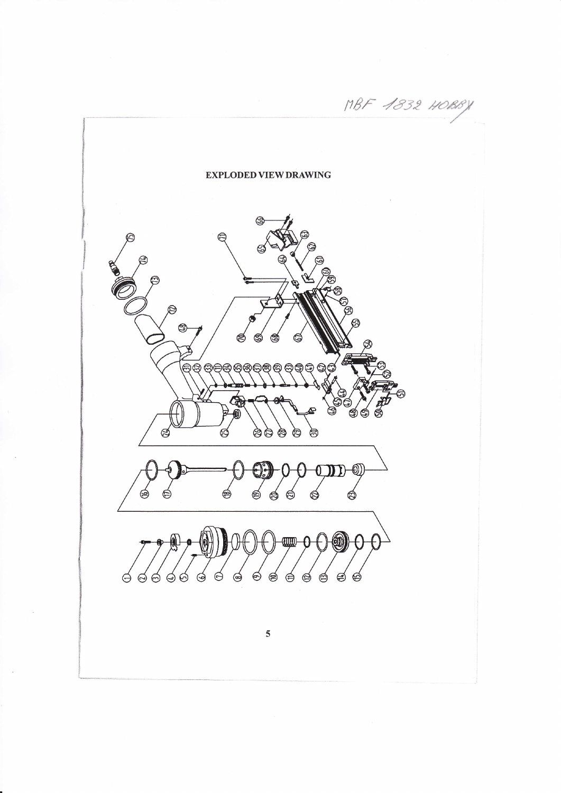MBF 1832 HOBB **EXPLODED VIEW DRAWING** ලූ AA  $\epsilon$  $\mathbb{Z}$ a 0 ඬ  $\mathbb{G}$ Q Ó  $\Theta$ ම ම G ⊜ ⊜  $\circledcirc$  $\circledcirc$  $\Theta$  $\circledcirc$  $\Theta$  $\Theta$  $\sqrt{2}$ └ᢦ  $\overline{5}$